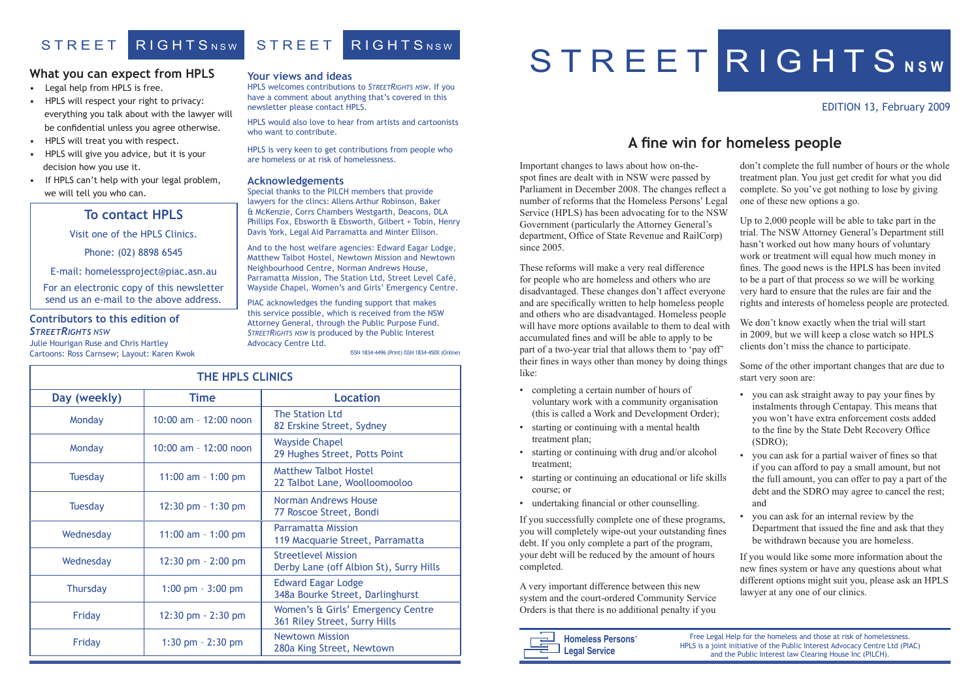#### EDITION 13, February 2009

#### **Your views and ideas**

HPLS welcomes contributions to *STREETRIGHTS NSW*. If you have a comment about anything that's covered in this newsletter please contact HPLS.

HPLS would also love to hear from artists and cartoonists who want to contribute.

HPLS is very keen to get contributions from people who are homeless or at risk of homelessness.

#### **Acknowledgements**

Special thanks to the PILCH members that provide lawyers for the clincs: Allens Arthur Robinson, Baker & McKenzie, Corrs Chambers Westgarth, Deacons, DLA Phillips Fox, Ebsworth & Ebsworth, Gilbert + Tobin, Henry Davis York, Legal Aid Parramatta and Minter Ellison.

And to the host welfare agencies: Edward Eagar Lodge, Matthew Talbot Hostel, Newtown Mission and Newtown Neighbourhood Centre, Norman Andrews House, Parramatta Mission, The Station Ltd, Street Level Café, Wayside Chapel, Women's and Girls' Emergency Centre.

PIAC acknowledges the funding support that makes this service possible, which is received from the NSW Attorney General, through the Public Purpose Fund. *STREETRIGHTS NSW* is produced by the Public Interest Advocacy Centre Ltd.

| <b>THE HPLS CLINICS</b> |                        |                                                                       |
|-------------------------|------------------------|-----------------------------------------------------------------------|
| Day (weekly)            | <b>Time</b>            | <b>Location</b>                                                       |
| Monday                  | 10:00 am - 12:00 noon  | <b>The Station Ltd</b><br>82 Erskine Street, Sydney                   |
| Monday                  | 10:00 am - 12:00 noon  | <b>Wayside Chapel</b><br>29 Hughes Street, Potts Point                |
| <b>Tuesday</b>          | 11:00 am $-$ 1:00 pm   | <b>Matthew Talbot Hostel</b><br>22 Talbot Lane, Woolloomooloo         |
| <b>Tuesday</b>          | 12:30 pm $-$ 1:30 pm   | Norman Andrews House<br>77 Roscoe Street, Bondi                       |
| Wednesday               | 11:00 am $-$ 1:00 pm   | <b>Parramatta Mission</b><br>119 Macquarie Street, Parramatta         |
| Wednesday               | $12:30$ pm $- 2:00$ pm | <b>Streetlevel Mission</b><br>Derby Lane (off Albion St), Surry Hills |
| <b>Thursday</b>         | $1:00$ pm $-3:00$ pm   | <b>Edward Eagar Lodge</b><br>348a Bourke Street, Darlinghurst         |
| Friday                  | $12:30$ pm $- 2:30$ pm | Women's & Girls' Emergency Centre<br>361 Riley Street, Surry Hills    |
| Friday                  | 1:30 pm $- 2:30$ pm    | <b>Newtown Mission</b><br>280a King Street, Newtown                   |

# S T R E E T R I G H T S NSW

# STREET RIGHTSNSW STREET RIGHTSNSW

#### **What you can expect from HPLS**

- Legal help from HPLS is free.
- HPLS will respect your right to privacy: everything you talk about with the lawyer will be confidential unless you agree otherwise.
- HPLS will treat you with respect.
- HPLS will give you advice, but it is your decision how you use it.
- If HPLS can't help with your legal problem, we will tell you who can.



ISSN 1834-4496 (Print) ISSN 1834-450X (Online)

### **To contact HPLS**

Visit one of the HPLS Clinics.

Phone: (02) 8898 6545

E-mail: homelessproject@piac.asn.au

For an electronic copy of this newsletter send us an e-mail to the above address.

#### **Contributors to this edition of**  *STREETRIGHTS NSW*

Julie Hourigan Ruse and Chris Hartley Cartoons: Ross Carnsew; Layout: Karen Kwok

# **A fine win for homeless people**

Important changes to laws about how on-thespot fines are dealt with in NSW were passed by Parliament in December 2008. The changes reflect a number of reforms that the Homeless Persons' Legal Service (HPLS) has been advocating for to the NSW Government (particularly the Attorney General's department, Office of State Revenue and RailCorp) since 2005 don't complete the full number of hours or the whole treatment plan. You just get credit for what you did complete. So you've got nothing to lose by giving one of these new options a go. Up to 2,000 people will be able to take part in the trial. The NSW Attorney General's Department still hasn't worked out how many hours of voluntary

- completing a certain number of hours of voluntary work with a community organisation (this is called a Work and Development Order);
- starting or continuing with a mental health treatment plan;
- starting or continuing with drug and/or alcohol treatment;
- starting or continuing an educational or life skills course; or
- undertaking financial or other counselling.

If you successfully complete one of these programs, you will completely wipe-out your outstanding fines debt. If you only complete a part of the program, your debt will be reduced by the amount of hours completed.

These reforms will make a very real difference for people who are homeless and others who are disadvantaged. These changes don't affect everyone and are specifically written to help homeless people and others who are disadvantaged. Homeless people will have more options available to them to deal with accumulated fines and will be able to apply to be part of a two-year trial that allows them to 'pay off' their fines in ways other than money by doing things like: fines. The good news is the HPLS has been invited to be a part of that process so we will be working very hard to ensure that the rules are fair and the rights and interests of homeless people are protected. We don't know exactly when the trial will start in 2009, but we will keep a close watch so HPLS clients don't miss the chance to participate. Some of the other important changes that are due to start very soon are:

A very important difference between this new system and the court-ordered Community Service Orders is that there is no additional penalty if you

work or treatment will equal how much money in

- you can ask straight away to pay your fines by instalments through Centapay. This means that you won't have extra enforcement costs added to the fine by the State Debt Recovery Office (SDRO);
- you can ask for a partial waiver of fines so that if you can afford to pay a small amount, but not the full amount, you can offer to pay a part of the debt and the SDRO may agree to cancel the rest; and
- you can ask for an internal review by the Department that issued the fine and ask that they be withdrawn because you are homeless.

If you would like some more information about the new fines system or have any questions about what different options might suit you, please ask an HPLS lawyer at any one of our clinics.